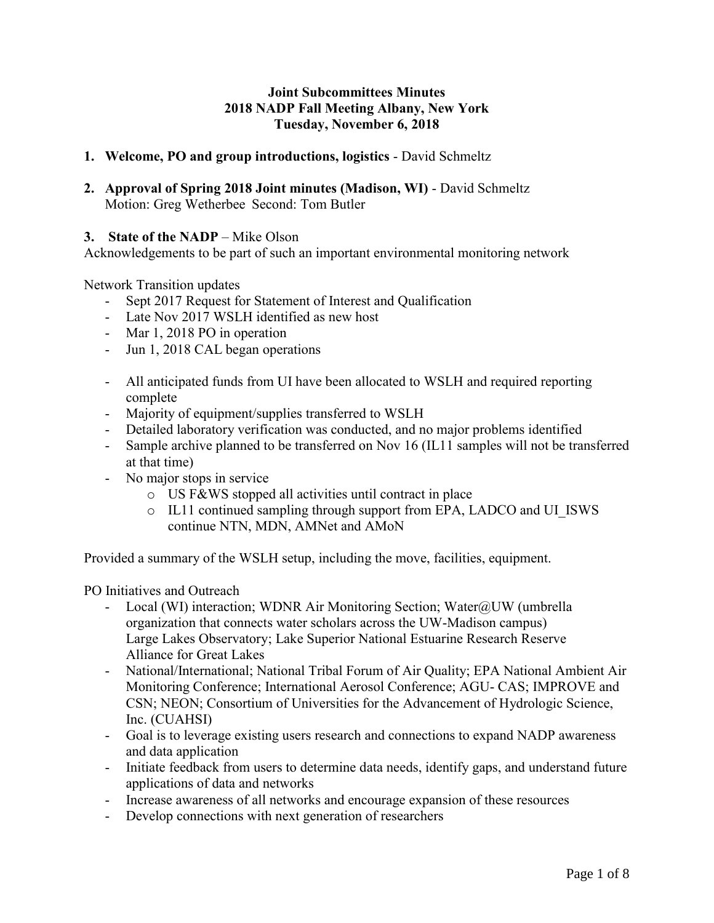# **Joint Subcommittees Minutes 2018 NADP Fall Meeting Albany, New York Tuesday, November 6, 2018**

# **1. Welcome, PO and group introductions, logistics** - David Schmeltz

**2. Approval of Spring 2018 Joint minutes (Madison, WI)** - David Schmeltz Motion: Greg Wetherbee Second: Tom Butler

## **3. State of the NADP** – Mike Olson

Acknowledgements to be part of such an important environmental monitoring network

Network Transition updates

- Sept 2017 Request for Statement of Interest and Qualification
- Late Nov 2017 WSLH identified as new host
- Mar 1, 2018 PO in operation
- Jun 1, 2018 CAL began operations
- All anticipated funds from UI have been allocated to WSLH and required reporting complete
- Majority of equipment/supplies transferred to WSLH
- Detailed laboratory verification was conducted, and no major problems identified
- Sample archive planned to be transferred on Nov 16 (IL11 samples will not be transferred at that time)
- No major stops in service
	- o US F&WS stopped all activities until contract in place
	- o IL11 continued sampling through support from EPA, LADCO and UI\_ISWS continue NTN, MDN, AMNet and AMoN

Provided a summary of the WSLH setup, including the move, facilities, equipment.

PO Initiatives and Outreach

- Local (WI) interaction; WDNR Air Monitoring Section; Water@UW (umbrella organization that connects water scholars across the UW-Madison campus) Large Lakes Observatory; Lake Superior National Estuarine Research Reserve Alliance for Great Lakes
- National/International; National Tribal Forum of Air Quality; EPA National Ambient Air Monitoring Conference; International Aerosol Conference; AGU- CAS; IMPROVE and CSN; NEON; Consortium of Universities for the Advancement of Hydrologic Science, Inc. (CUAHSI)
- Goal is to leverage existing users research and connections to expand NADP awareness and data application
- Initiate feedback from users to determine data needs, identify gaps, and understand future applications of data and networks
- Increase awareness of all networks and encourage expansion of these resources
- Develop connections with next generation of researchers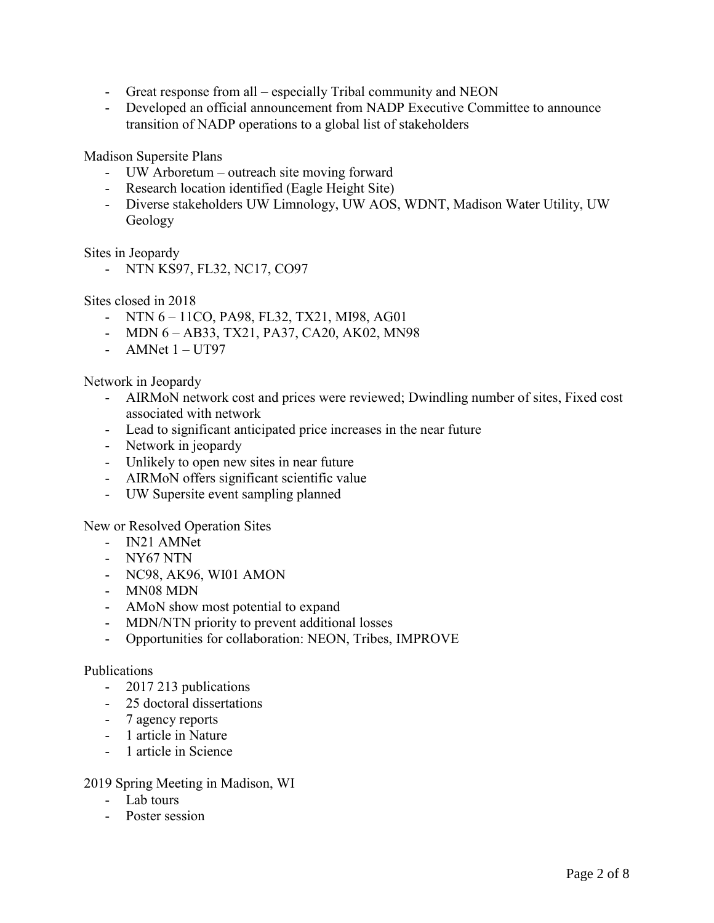- Great response from all especially Tribal community and NEON
- Developed an official announcement from NADP Executive Committee to announce transition of NADP operations to a global list of stakeholders

Madison Supersite Plans

- UW Arboretum outreach site moving forward
- Research location identified (Eagle Height Site)
- Diverse stakeholders UW Limnology, UW AOS, WDNT, Madison Water Utility, UW Geology

Sites in Jeopardy

- NTN KS97, FL32, NC17, CO97

Sites closed in 2018

- NTN 6 11CO, PA98, FL32, TX21, MI98, AG01
- MDN 6 AB33, TX21, PA37, CA20, AK02, MN98
- AMNet  $1 **UT97**$

Network in Jeopardy

- AIRMoN network cost and prices were reviewed; Dwindling number of sites, Fixed cost associated with network
- Lead to significant anticipated price increases in the near future
- Network in jeopardy
- Unlikely to open new sites in near future
- AIRMoN offers significant scientific value
- UW Supersite event sampling planned

New or Resolved Operation Sites

- IN21 AMNet
- NY67 NTN
- NC98, AK96, WI01 AMON
- MN08 MDN
- AMoN show most potential to expand
- MDN/NTN priority to prevent additional losses
- Opportunities for collaboration: NEON, Tribes, IMPROVE

## Publications

- 2017 213 publications
- 25 doctoral dissertations
- 7 agency reports
- 1 article in Nature
- 1 article in Science

## 2019 Spring Meeting in Madison, WI

- Lab tours
- Poster session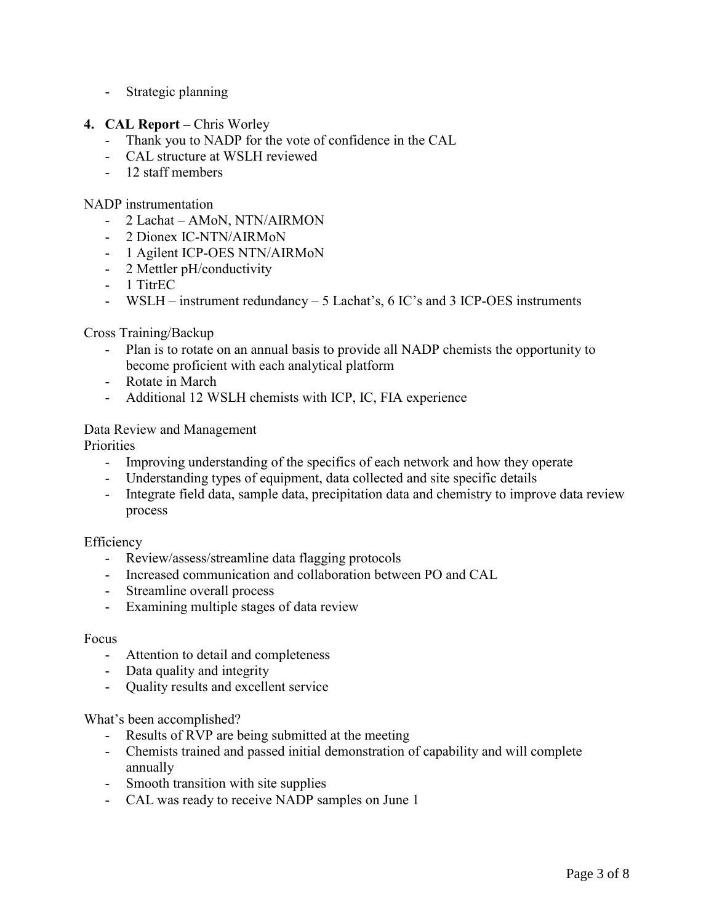- Strategic planning
- **4. CAL Report Chris Worley** 
	- Thank you to NADP for the vote of confidence in the CAL
	- CAL structure at WSLH reviewed
	- 12 staff members

### NADP instrumentation

- 2 Lachat AMoN, NTN/AIRMON
- 2 Dionex IC-NTN/AIRMoN
- 1 Agilent ICP-OES NTN/AIRMoN
- 2 Mettler pH/conductivity
- 1 TitrEC
- WSLH instrument redundancy 5 Lachat's, 6 IC's and 3 ICP-OES instruments

## Cross Training/Backup

- Plan is to rotate on an annual basis to provide all NADP chemists the opportunity to become proficient with each analytical platform
- Rotate in March
- Additional 12 WSLH chemists with ICP, IC, FIA experience

## Data Review and Management

**Priorities** 

- Improving understanding of the specifics of each network and how they operate
- Understanding types of equipment, data collected and site specific details
- Integrate field data, sample data, precipitation data and chemistry to improve data review process

#### Efficiency

- Review/assess/streamline data flagging protocols
- Increased communication and collaboration between PO and CAL
- Streamline overall process
- Examining multiple stages of data review

#### Focus

- Attention to detail and completeness
- Data quality and integrity
- Quality results and excellent service

#### What's been accomplished?

- Results of RVP are being submitted at the meeting
- Chemists trained and passed initial demonstration of capability and will complete annually
- Smooth transition with site supplies
- CAL was ready to receive NADP samples on June 1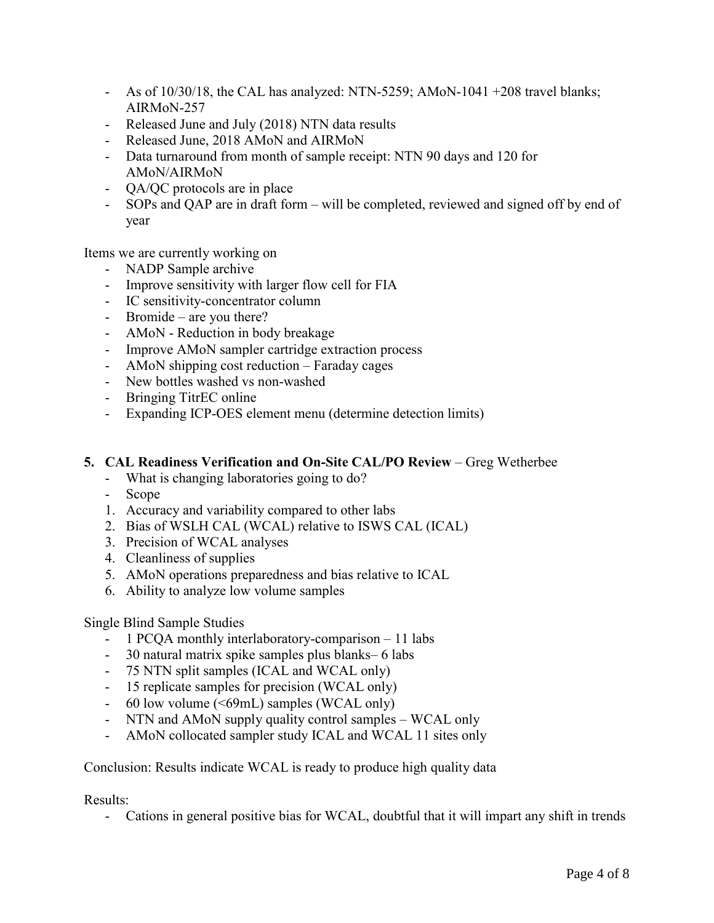- As of  $10/30/18$ , the CAL has analyzed: NTN-5259; AMoN-1041 +208 travel blanks; AIRMoN-257
- Released June and July (2018) NTN data results
- Released June, 2018 AMoN and AIRMoN
- Data turnaround from month of sample receipt: NTN 90 days and 120 for AMoN/AIRMoN
- QA/QC protocols are in place
- SOPs and QAP are in draft form will be completed, reviewed and signed off by end of year

Items we are currently working on

- NADP Sample archive
- Improve sensitivity with larger flow cell for FIA
- IC sensitivity-concentrator column
- Bromide are you there?
- AMoN Reduction in body breakage
- Improve AMoN sampler cartridge extraction process
- AMoN shipping cost reduction Faraday cages
- New bottles washed vs non-washed
- Bringing TitrEC online
- Expanding ICP-OES element menu (determine detection limits)

### **5. CAL Readiness Verification and On-Site CAL/PO Review – Greg Wetherbee**

- What is changing laboratories going to do?
- Scope
- 1. Accuracy and variability compared to other labs
- 2. Bias of WSLH CAL (WCAL) relative to ISWS CAL (ICAL)
- 3. Precision of WCAL analyses
- 4. Cleanliness of supplies
- 5. AMoN operations preparedness and bias relative to ICAL
- 6. Ability to analyze low volume samples

## Single Blind Sample Studies

- 1 PCQA monthly interlaboratory-comparison 11 labs
- 30 natural matrix spike samples plus blanks– 6 labs
- 75 NTN split samples (ICAL and WCAL only)
- 15 replicate samples for precision (WCAL only)
- 60 low volume (<69mL) samples (WCAL only)
- NTN and AMoN supply quality control samples WCAL only
- AMoN collocated sampler study ICAL and WCAL 11 sites only

Conclusion: Results indicate WCAL is ready to produce high quality data

Results:

- Cations in general positive bias for WCAL, doubtful that it will impart any shift in trends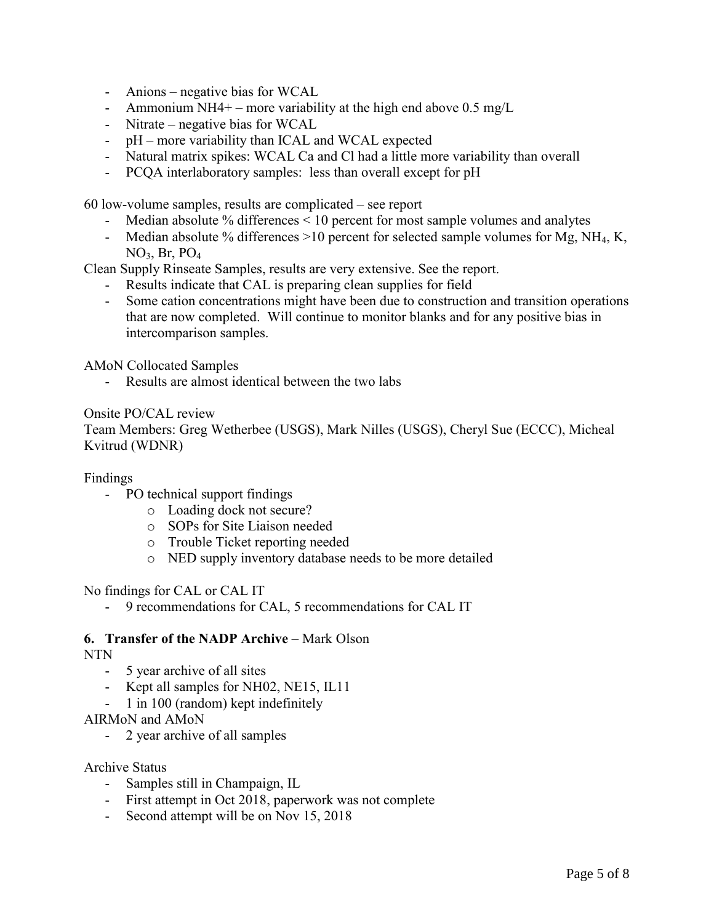- Anions negative bias for WCAL
- Ammonium NH4+ more variability at the high end above  $0.5 \text{ mg/L}$
- Nitrate negative bias for WCAL
- pH more variability than ICAL and WCAL expected
- Natural matrix spikes: WCAL Ca and Cl had a little more variability than overall
- PCQA interlaboratory samples: less than overall except for pH

60 low-volume samples, results are complicated – see report

- Median absolute % differences < 10 percent for most sample volumes and analytes
- Median absolute % differences  $>10$  percent for selected sample volumes for Mg, NH<sub>4</sub>, K, NO3, Br, PO<sup>4</sup>

Clean Supply Rinseate Samples, results are very extensive. See the report.

- Results indicate that CAL is preparing clean supplies for field
- Some cation concentrations might have been due to construction and transition operations that are now completed. Will continue to monitor blanks and for any positive bias in intercomparison samples.

AMoN Collocated Samples

- Results are almost identical between the two labs

## Onsite PO/CAL review

Team Members: Greg Wetherbee (USGS), Mark Nilles (USGS), Cheryl Sue (ECCC), Micheal Kvitrud (WDNR)

#### Findings

- PO technical support findings
	- o Loading dock not secure?
	- o SOPs for Site Liaison needed
	- o Trouble Ticket reporting needed
	- o NED supply inventory database needs to be more detailed

#### No findings for CAL or CAL IT

- 9 recommendations for CAL, 5 recommendations for CAL IT

#### **6. Transfer of the NADP Archive** – Mark Olson

#### NTN

- 5 year archive of all sites
- Kept all samples for NH02, NE15, IL11
- 1 in 100 (random) kept indefinitely

AIRMoN and AMoN

- 2 year archive of all samples

#### Archive Status

- Samples still in Champaign, IL
- First attempt in Oct 2018, paperwork was not complete
- Second attempt will be on Nov 15, 2018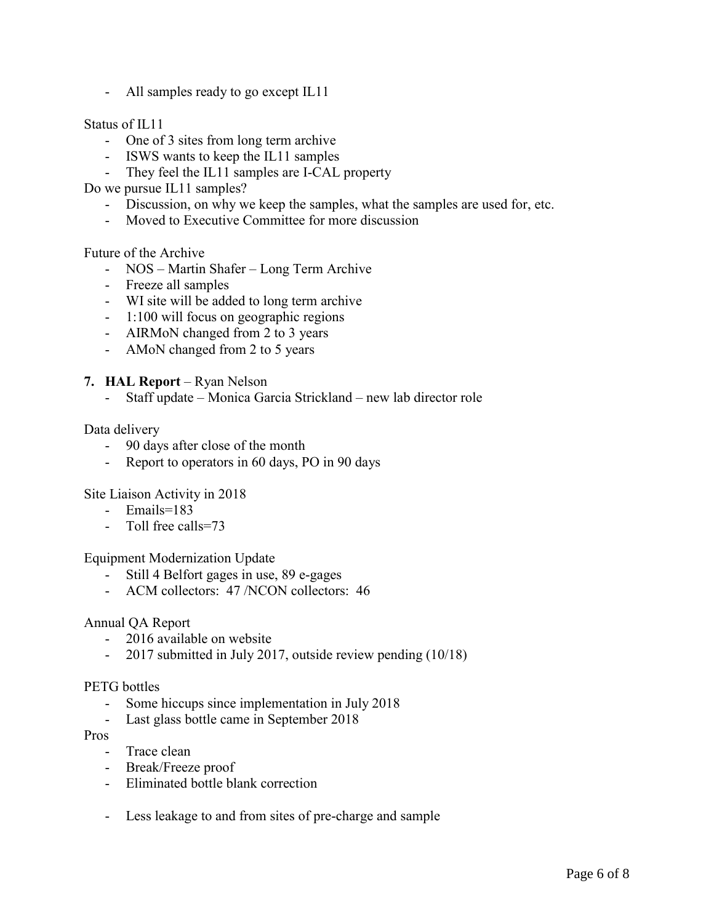- All samples ready to go except IL11

## Status of IL11

- One of 3 sites from long term archive
- ISWS wants to keep the IL11 samples
- They feel the IL11 samples are I-CAL property

Do we pursue IL11 samples?

- Discussion, on why we keep the samples, what the samples are used for, etc.
- Moved to Executive Committee for more discussion

## Future of the Archive

- NOS Martin Shafer Long Term Archive
- Freeze all samples
- WI site will be added to long term archive
- 1:100 will focus on geographic regions
- AIRMoN changed from 2 to 3 years
- AMoN changed from 2 to 5 years

## **7. HAL Report** – Ryan Nelson

- Staff update – Monica Garcia Strickland – new lab director role

## Data delivery

- 90 days after close of the month
- Report to operators in 60 days, PO in 90 days

## Site Liaison Activity in 2018

- Emails=183
- Toll free calls=73

Equipment Modernization Update

- Still 4 Belfort gages in use, 89 e-gages
- ACM collectors: 47 /NCON collectors: 46

## Annual QA Report

- 2016 available on website
- 2017 submitted in July 2017, outside review pending (10/18)

## PETG bottles

- Some hiccups since implementation in July 2018
- Last glass bottle came in September 2018

#### Pros

- Trace clean
- Break/Freeze proof
- Eliminated bottle blank correction
- Less leakage to and from sites of pre-charge and sample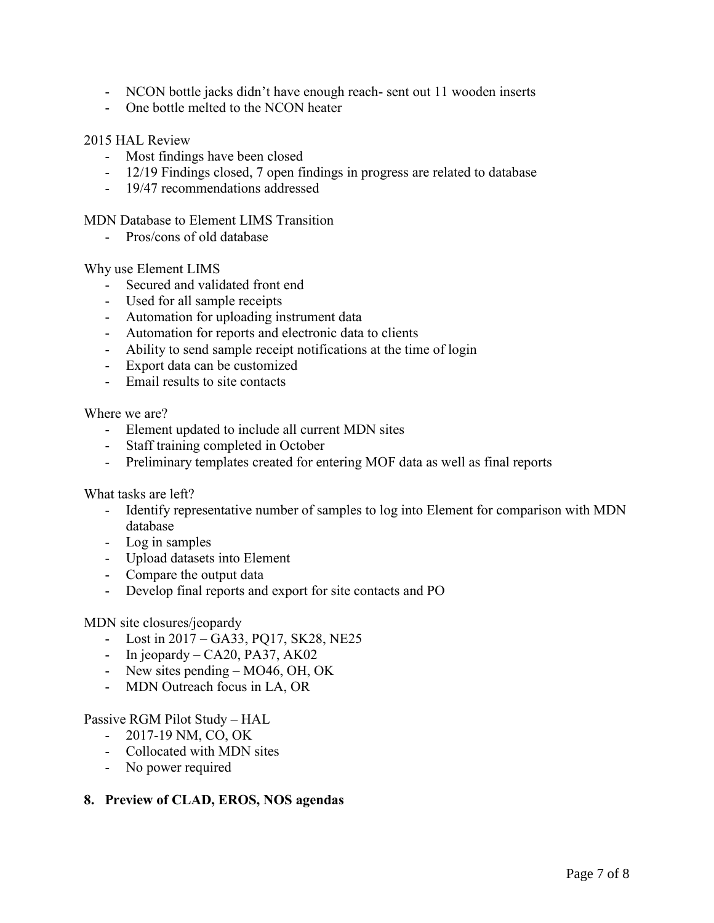- NCON bottle jacks didn't have enough reach- sent out 11 wooden inserts
- One bottle melted to the NCON heater

## 2015 HAL Review

- Most findings have been closed
- 12/19 Findings closed, 7 open findings in progress are related to database
- 19/47 recommendations addressed

MDN Database to Element LIMS Transition

- Pros/cons of old database

Why use Element LIMS

- Secured and validated front end
- Used for all sample receipts
- Automation for uploading instrument data
- Automation for reports and electronic data to clients
- Ability to send sample receipt notifications at the time of login
- Export data can be customized
- Email results to site contacts

Where we are?

- Element updated to include all current MDN sites
- Staff training completed in October
- Preliminary templates created for entering MOF data as well as final reports

What tasks are left?

- Identify representative number of samples to log into Element for comparison with MDN database
- Log in samples
- Upload datasets into Element
- Compare the output data
- Develop final reports and export for site contacts and PO

#### MDN site closures/jeopardy

- Lost in 2017 GA33, PQ17, SK28, NE25
- In jeopardy CA20, PA37, AK02
- New sites pending MO46, OH, OK
- MDN Outreach focus in LA, OR

#### Passive RGM Pilot Study – HAL

- 2017-19 NM, CO, OK
- Collocated with MDN sites
- No power required

## **8. Preview of CLAD, EROS, NOS agendas**